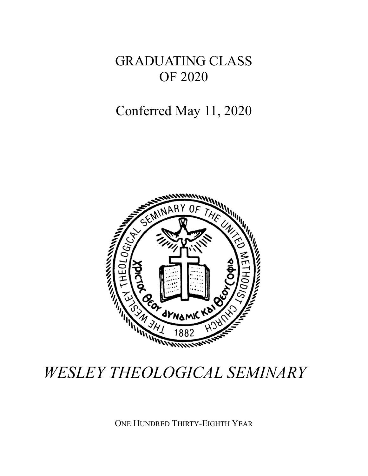GRADUATING CLASS OF 2020

## Conferred May 11, 2020



# *WESLEY THEOLOGICAL SEMINARY*

ONE HUNDRED THIRTY-EIGHTH YEAR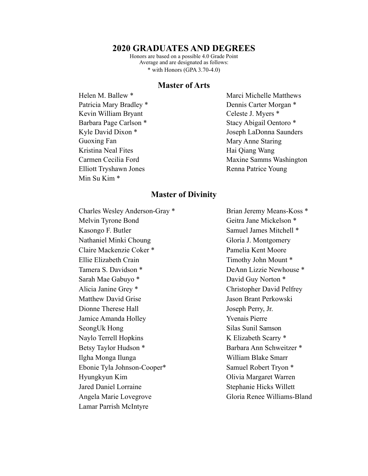#### **2020 GRADUATES AND DEGREES**

Honors are based on a possible 4.0 Grade Point Average and are designated as follows: \* with Honors (GPA 3.70-4.0)

#### **Master of Arts**

Helen M. Ballew \* Patricia Mary Bradley \* Kevin William Bryant Barbara Page Carlson \* Kyle David Dixon \* Guoxing Fan Kristina Neal Fites Carmen Cecilia Ford Elliott Tryshawn Jones Min Su Kim \*

Marci Michelle Matthews Dennis Carter Morgan \* Celeste J. Myers \* Stacy Abigail Oentoro \* Joseph LaDonna Saunders Mary Anne Staring Hai Qiang Wang Maxine Samms Washington Renna Patrice Young

#### **Master of Divinity**

Charles Wesley Anderson-Gray \* Melvin Tyrone Bond Kasongo F. Butler Nathaniel Minki Choung Claire Mackenzie Coker \* Ellie Elizabeth Crain Tamera S. Davidson \* Sarah Mae Gabuyo \* Alicia Janine Grey \* Matthew David Grise Dionne Therese Hall Jamice Amanda Holley SeongUk Hong Naylo Terrell Hopkins Betsy Taylor Hudson \* Ilgha Monga Ilunga Ebonie Tyla Johnson-Cooper\* Hyungkyun Kim Jared Daniel Lorraine Angela Marie Lovegrove Lamar Parrish McIntyre

Brian Jeremy Means-Koss \* Geitra Jane Mickelson \* Samuel James Mitchell \* Gloria J. Montgomery Pamelia Kent Moore Timothy John Mount \* DeAnn Lizzie Newhouse \* David Guy Norton \* Christopher David Pelfrey Jason Brant Perkowski Joseph Perry, Jr. Yvenais Pierre Silas Sunil Samson K Elizabeth Scarry \* Barbara Ann Schweitzer \* William Blake Smarr Samuel Robert Tryon \* Olivia Margaret Warren Stephanie Hicks Willett Gloria Renee Williams-Bland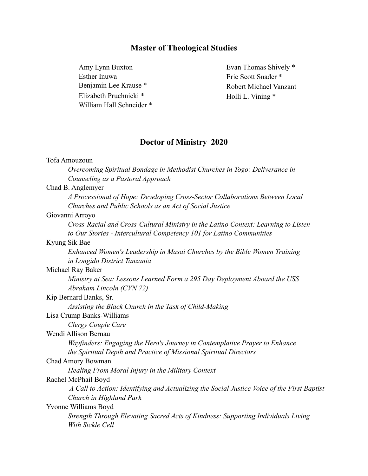## **Master of Theological Studies**

Amy Lynn Buxton Esther Inuwa Benjamin Lee Krause \* Elizabeth Pruchnicki \* William Hall Schneider \*

Evan Thomas Shively \* Eric Scott Snader \* Robert Michael Vanzant Holli L. Vining \*

### **Doctor of Ministry 2020**

| Tofa Amouzoun                                                                               |
|---------------------------------------------------------------------------------------------|
| Overcoming Spiritual Bondage in Methodist Churches in Togo: Deliverance in                  |
| Counseling as a Pastoral Approach                                                           |
| Chad B. Anglemyer                                                                           |
| A Processional of Hope: Developing Cross-Sector Collaborations Between Local                |
| Churches and Public Schools as an Act of Social Justice                                     |
| Giovanni Arroyo                                                                             |
| Cross-Racial and Cross-Cultural Ministry in the Latino Context: Learning to Listen          |
| to Our Stories - Intercultural Competency 101 for Latino Communities                        |
| Kyung Sik Bae                                                                               |
| Enhanced Women's Leadership in Masai Churches by the Bible Women Training                   |
| in Longido District Tanzania                                                                |
| Michael Ray Baker                                                                           |
| Ministry at Sea: Lessons Learned Form a 295 Day Deployment Aboard the USS                   |
| Abraham Lincoln (CVN 72)                                                                    |
| Kip Bernard Banks, Sr.                                                                      |
| Assisting the Black Church in the Task of Child-Making                                      |
| Lisa Crump Banks-Williams                                                                   |
| Clergy Couple Care                                                                          |
| Wendi Allison Bernau                                                                        |
| Wayfinders: Engaging the Hero's Journey in Contemplative Prayer to Enhance                  |
| the Spiritual Depth and Practice of Missional Spiritual Directors                           |
| Chad Amory Bowman                                                                           |
| Healing From Moral Injury in the Military Context                                           |
| Rachel McPhail Boyd                                                                         |
| A Call to Action: Identifying and Actualizing the Social Justice Voice of the First Baptist |
| Church in Highland Park                                                                     |
| Yvonne Williams Boyd                                                                        |
| Strength Through Elevating Sacred Acts of Kindness: Supporting Individuals Living           |
| With Sickle Cell                                                                            |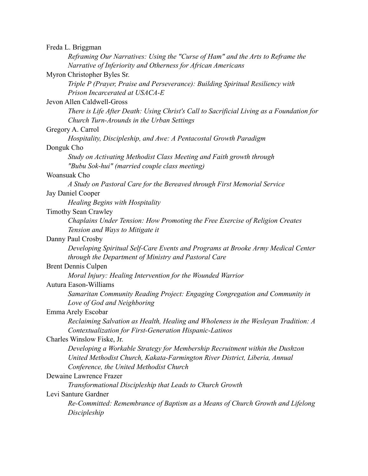| Freda L. Briggman          |                                                                                          |
|----------------------------|------------------------------------------------------------------------------------------|
|                            | Reframing Our Narratives: Using the "Curse of Ham" and the Arts to Reframe the           |
|                            | Narrative of Inferiority and Otherness for African Americans                             |
|                            | Myron Christopher Byles Sr.                                                              |
|                            | Triple P (Prayer, Praise and Perseverance): Building Spiritual Resiliency with           |
|                            | Prison Incarcerated at USACA-E                                                           |
|                            | Jevon Allen Caldwell-Gross                                                               |
|                            | There is Life After Death: Using Christ's Call to Sacrificial Living as a Foundation for |
|                            | Church Turn-Arounds in the Urban Settings                                                |
| Gregory A. Carrol          |                                                                                          |
|                            | Hospitality, Discipleship, and Awe: A Pentacostal Growth Paradigm                        |
| Donguk Cho                 |                                                                                          |
|                            | Study on Activating Methodist Class Meeting and Faith growth through                     |
|                            | "Bubu Sok-hui" (married couple class meeting)                                            |
| Woansuak Cho               |                                                                                          |
|                            | A Study on Pastoral Care for the Bereaved through First Memorial Service                 |
| Jay Daniel Cooper          |                                                                                          |
|                            | Healing Begins with Hospitality                                                          |
|                            | <b>Timothy Sean Crawley</b>                                                              |
|                            | Chaplains Under Tension: How Promoting the Free Exercise of Religion Creates             |
|                            | Tension and Ways to Mitigate it                                                          |
| Danny Paul Crosby          |                                                                                          |
|                            | Developing Spiritual Self-Care Events and Programs at Brooke Army Medical Center         |
|                            | through the Department of Ministry and Pastoral Care                                     |
| <b>Brent Dennis Culpen</b> |                                                                                          |
|                            | Moral Injury: Healing Intervention for the Wounded Warrior                               |
|                            | Autura Eason-Williams                                                                    |
|                            | Samaritan Community Reading Project: Engaging Congregation and Community in              |
|                            | Love of God and Neighboring                                                              |
| Emma Arely Escobar         |                                                                                          |
|                            | Reclaiming Salvation as Health, Healing and Wholeness in the Wesleyan Tradition: A       |
|                            | Contextualization for First-Generation Hispanic-Latinos                                  |
|                            | Charles Winslow Fiske, Jr.                                                               |
|                            | Developing a Workable Strategy for Membership Recruitment within the Dushzon             |
|                            | United Methodist Church, Kakata-Farmington River District, Liberia, Annual               |
|                            | Conference, the United Methodist Church                                                  |
|                            | Dewaine Lawrence Frazer                                                                  |
|                            | Transformational Discipleship that Leads to Church Growth                                |
| Levi Santure Gardner       |                                                                                          |
|                            | Re-Committed: Remembrance of Baptism as a Means of Church Growth and Lifelong            |
|                            | Discipleship                                                                             |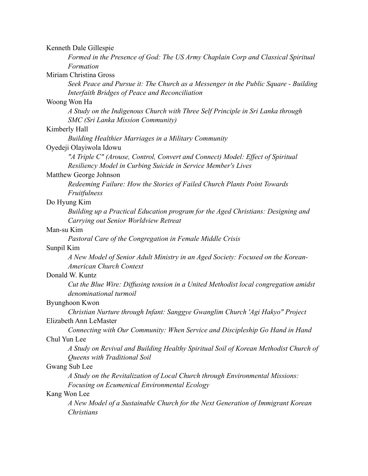Kenneth Dale Gillespie

*Formed in the Presence of God: The US Army Chaplain Corp and Classical Spiritual Formation* 

Miriam Christina Gross

*Seek Peace and Pursue it: The Church as a Messenger in the Public Square - Building Interfaith Bridges of Peace and Reconciliation* 

#### Woong Won Ha

*A Study on the Indigenous Church with Three Self Principle in Sri Lanka through SMC (Sri Lanka Mission Community)* 

#### Kimberly Hall

*Building Healthier Marriages in a Military Community* 

#### Oyedeji Olayiwola Idowu

*"A Triple C" (Arouse, Control, Convert and Connect) Model: Effect of Spiritual Resiliency Model in Curbing Suicide in Service Member's Lives* 

#### Matthew George Johnson

*Redeeming Failure: How the Stories of Failed Church Plants Point Towards Fruitfulness* 

#### Do Hyung Kim

*Building up a Practical Education program for the Aged Christians: Designing and Carrying out Senior Worldview Retreat* 

#### Man-su Kim

*Pastoral Care of the Congregation in Female Middle Crisis* 

#### Sunpil Kim

*A New Model of Senior Adult Ministry in an Aged Society: Focused on the Korean-American Church Context* 

#### Donald W. Kuntz

*Cut the Blue Wire: Diffusing tension in a United Methodist local congregation amidst denominational turmoil* 

#### Byunghoon Kwon

*Christian Nurture through Infant: Sanggye Gwanglim Church 'Agi Hakyo" Project*  Elizabeth Ann LeMaster

*Connecting with Our Community: When Service and Discipleship Go Hand in Hand*  Chul Yun Lee

*A Study on Revival and Building Healthy Spiritual Soil of Korean Methodist Church of Queens with Traditional Soil* 

#### Gwang Sub Lee

*A Study on the Revitalization of Local Church through Environmental Missions: Focusing on Ecumenical Environmental Ecology* 

#### Kang Won Lee

*A New Model of a Sustainable Church for the Next Generation of Immigrant Korean Christians*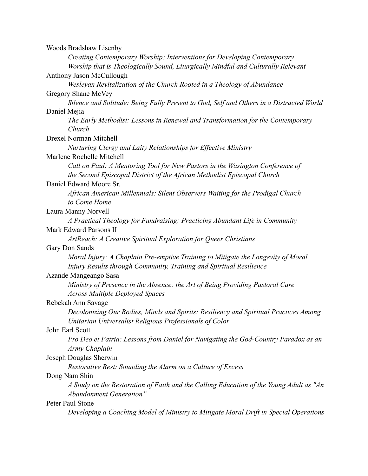| Woods Bradshaw Lisenby                                                                                                  |
|-------------------------------------------------------------------------------------------------------------------------|
| Creating Contemporary Worship: Interventions for Developing Contemporary                                                |
| Worship that is Theologically Sound, Liturgically Mindful and Culturally Relevant                                       |
| Anthony Jason McCullough                                                                                                |
| Wesleyan Revitalization of the Church Rooted in a Theology of Abundance                                                 |
| Gregory Shane McVey                                                                                                     |
| Silence and Solitude: Being Fully Present to God, Self and Others in a Distracted World                                 |
| Daniel Mejia                                                                                                            |
| The Early Methodist: Lessons in Renewal and Transformation for the Contemporary                                         |
| Church                                                                                                                  |
| <b>Drexel Norman Mitchell</b>                                                                                           |
| Nurturing Clergy and Laity Relationships for Effective Ministry                                                         |
| Marlene Rochelle Mitchell                                                                                               |
| Call on Paul: A Mentoring Tool for New Pastors in the Wasington Conference of                                           |
| the Second Episcopal District of the African Methodist Episcopal Church                                                 |
| Daniel Edward Moore Sr.                                                                                                 |
| African American Millennials: Silent Observers Waiting for the Prodigal Church                                          |
| to Come Home                                                                                                            |
| Laura Manny Norvell                                                                                                     |
| A Practical Theology for Fundraising: Practicing Abundant Life in Community                                             |
| Mark Edward Parsons II                                                                                                  |
| ArtReach: A Creative Spiritual Exploration for Queer Christians                                                         |
| Gary Don Sands                                                                                                          |
| Moral Injury: A Chaplain Pre-emptive Training to Mitigate the Longevity of Moral                                        |
| Injury Results through Community, Training and Spiritual Resilience                                                     |
| Azande Mangeango Sasa                                                                                                   |
| Ministry of Presence in the Absence: the Art of Being Providing Pastoral Care<br><b>Across Multiple Deployed Spaces</b> |
| Rebekah Ann Savage                                                                                                      |
| Decolonizing Our Bodies, Minds and Spirits: Resiliency and Spiritual Practices Among                                    |
| Unitarian Universalist Religious Professionals of Color                                                                 |
| John Earl Scott                                                                                                         |
| Pro Deo et Patria: Lessons from Daniel for Navigating the God-Country Paradox as an                                     |
| Army Chaplain                                                                                                           |
| Joseph Douglas Sherwin                                                                                                  |
| Restorative Rest: Sounding the Alarm on a Culture of Excess                                                             |
| Dong Nam Shin                                                                                                           |
| A Study on the Restoration of Faith and the Calling Education of the Young Adult as "An                                 |
| Abandonment Generation"                                                                                                 |
| Peter Paul Stone                                                                                                        |
| Developing a Coaching Model of Ministry to Mitigate Moral Drift in Special Operations                                   |
|                                                                                                                         |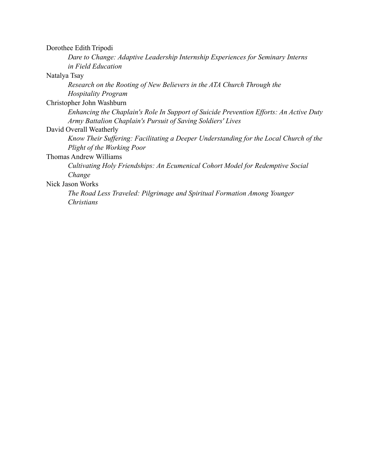| Dorothee Edith Tripodi |  |
|------------------------|--|
|------------------------|--|

*Dare to Change: Adaptive Leadership Internship Experiences for Seminary Interns in Field Education* 

Natalya Tsay

*Research on the Rooting of New Believers in the ATA Church Through the Hospitality Program* 

Christopher John Washburn

*Enhancing the Chaplain's Role In Support of Suicide Prevention Efforts: An Active Duty Army Battalion Chaplain's Pursuit of Saving Soldiers' Lives* 

David Overall Weatherly

*Know Their Suffering: Facilitating a Deeper Understanding for the Local Church of the Plight of the Working Poor* 

Thomas Andrew Williams

*Cultivating Holy Friendships: An Ecumenical Cohort Model for Redemptive Social Change* 

Nick Jason Works

*The Road Less Traveled: Pilgrimage and Spiritual Formation Among Younger Christians*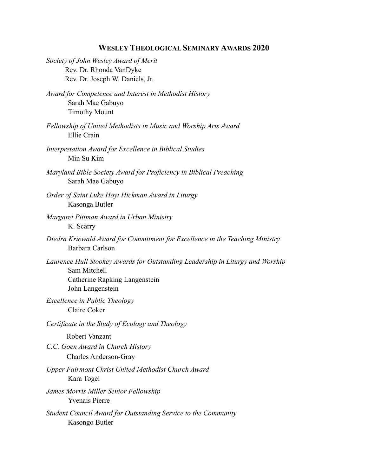## **WESLEY THEOLOGICAL SEMINARY AWARDS 2020**

| Society of John Wesley Award of Merit<br>Rev. Dr. Rhonda VanDyke<br>Rev. Dr. Joseph W. Daniels, Jr.                                                        |
|------------------------------------------------------------------------------------------------------------------------------------------------------------|
| Award for Competence and Interest in Methodist History<br>Sarah Mae Gabuyo<br><b>Timothy Mount</b>                                                         |
| Fellowship of United Methodists in Music and Worship Arts Award<br>Ellie Crain                                                                             |
| Interpretation Award for Excellence in Biblical Studies<br>Min Su Kim                                                                                      |
| Maryland Bible Society Award for Proficiency in Biblical Preaching<br>Sarah Mae Gabuyo                                                                     |
| Order of Saint Luke Hoyt Hickman Award in Liturgy<br>Kasonga Butler                                                                                        |
| Margaret Pittman Award in Urban Ministry<br>K. Scarry                                                                                                      |
| Diedra Kriewald Award for Commitment for Excellence in the Teaching Ministry<br>Barbara Carlson                                                            |
| Laurence Hull Stookey Awards for Outstanding Leadership in Liturgy and Worship<br>Sam Mitchell<br><b>Catherine Rapking Langenstein</b><br>John Langenstein |
| Excellence in Public Theology<br>Claire Coker                                                                                                              |
| Certificate in the Study of Ecology and Theology                                                                                                           |
| Robert Vanzant<br>C.C. Goen Award in Church History<br><b>Charles Anderson-Gray</b>                                                                        |
| <b>Upper Fairmont Christ United Methodist Church Award</b><br>Kara Togel                                                                                   |
| James Morris Miller Senior Fellowship<br><b>Yvenais Pierre</b>                                                                                             |
| Student Council Award for Outstanding Service to the Community<br>Kasongo Butler                                                                           |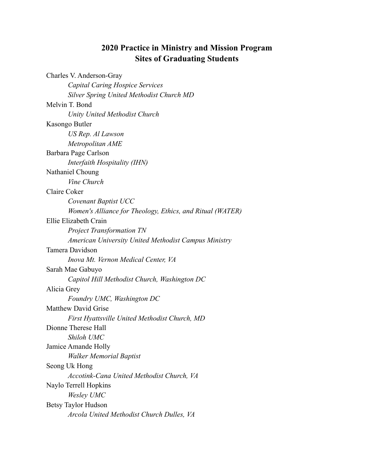#### **2020 Practice in Ministry and Mission Program Sites of Graduating Students**

Charles V. Anderson-Gray *Capital Caring Hospice Services Silver Spring United Methodist Church MD*  Melvin T. Bond *Unity United Methodist Church*  Kasongo Butler *US Rep. Al Lawson Metropolitan AME*  Barbara Page Carlson *Interfaith Hospitality (IHN)*  Nathaniel Choung *Vine Church*  Claire Coker *Covenant Baptist UCC Women's Alliance for Theology, Ethics, and Ritual (WATER)*  Ellie Elizabeth Crain *Project Transformation TN American University United Methodist Campus Ministry*  Tamera Davidson *Inova Mt. Vernon Medical Center, VA*  Sarah Mae Gabuyo *Capitol Hill Methodist Church, Washington DC*  Alicia Grey *Foundry UMC, Washington DC*  Matthew David Grise *First Hyattsville United Methodist Church, MD*  Dionne Therese Hall *Shiloh UMC*  Jamice Amande Holly *Walker Memorial Baptist*  Seong Uk Hong *Accotink-Cana United Methodist Church, VA*  Naylo Terrell Hopkins *Wesley UMC*  Betsy Taylor Hudson *Arcola United Methodist Church Dulles, VA*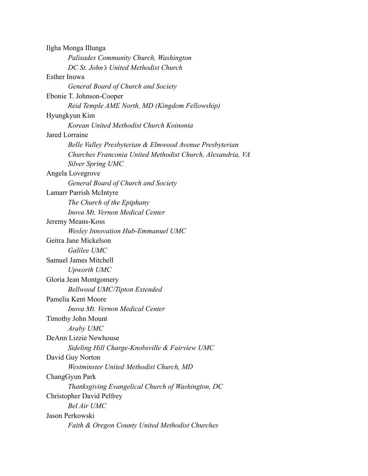| Ilgha Monga Illunga                                        |
|------------------------------------------------------------|
| Palisades Community Church, Washington                     |
| DC St. John's United Methodist Church                      |
| Esther Inuwa                                               |
| General Board of Church and Society                        |
| Ebonie T. Johnson-Cooper                                   |
| Reid Temple AME North, MD (Kingdom Fellowship)             |
| Hyungkyun Kim                                              |
| Korean United Methodist Church Koinonia                    |
| Jared Lorraine                                             |
| Belle Valley Presbyterian & Elmwood Avenue Presbyterian    |
| Churches Franconia United Methodist Church, Alexandria, VA |
| Silver Spring UMC                                          |
| Angela Lovegrove                                           |
| General Board of Church and Society                        |
| Lamarr Parrish McIntyre                                    |
| The Church of the Epiphany                                 |
| Inova Mt. Vernon Medical Center                            |
| Jeremy Means-Koss                                          |
| <b>Wesley Innovation Hub-Emmanuel UMC</b>                  |
| Geitra Jane Mickelson                                      |
| Galilee UMC                                                |
| Samuel James Mitchell                                      |
| Upworth UMC                                                |
| Gloria Jean Montgomery                                     |
| <b>Bellwood UMC/Tipton Extended</b>                        |
| Pamelia Kent Moore                                         |
| Inova Mt. Vernon Medical Center                            |
| <b>Timothy John Mount</b>                                  |
| Araby UMC                                                  |
| DeAnn Lizzie Newhouse                                      |
| Sideling Hill Charge-Knobsville & Fairview UMC             |
| David Guy Norton                                           |
| Westminster United Methodist Church, MD                    |
| ChangGyun Park                                             |
| Thanksgiving Evangelical Church of Washington, DC          |
| <b>Christopher David Pelfrey</b>                           |
| <b>Bel Air UMC</b>                                         |
| Jason Perkowski                                            |
| Faith & Oregon County United Methodist Churches            |